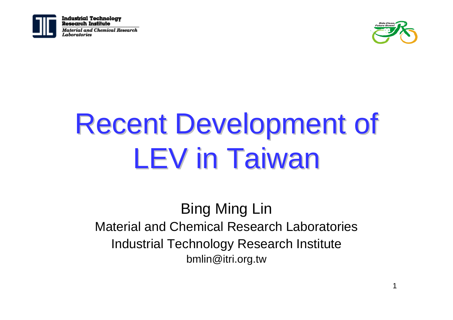

Industrial Technology **Research Institute** Material and Chemical Research aboratories



# **Recent Development of** LEV in Taiwan

Bing Ming Lin Material and Chemical Research LaboratoriesIndustrial Technology Research Institute bmlin@itri.org.tw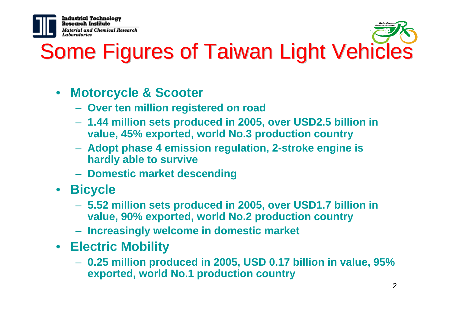

Research Institute Material and Chemical Research Laboratories



### **Some Figures of Taiwan Light Vehicles**

- $\bullet$  **Motorcycle & Scooter**
	- **Over ten million registered on road**
	- **1.44 million sets produced in 2005, over USD2.5 billion in value, 45% exported, world No.3 production country**
	- **Adopt phase 4 emission regulation, 2-stroke engine is hardly able to survive**
	- **Domestic market descending**
- $\bullet$  **Bicycle**
	- **5.52 million sets produced in 2005, over USD1.7 billion in value, 90% exported, world No.2 production country**
	- **Increasingly welcome in domestic market**
- **Electric Mobility**
	- **0.25 million produced in 2005, USD 0.17 billion in value, 95% exported, world No.1 production country**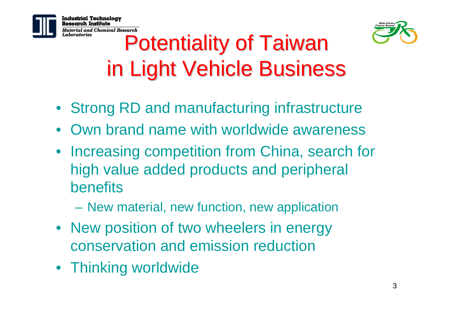

Technology Material and Chemical Research aboratories



## **Potentiality of Taiwan** in Light Vehicle Business

- Strong RD and manufacturing infrastructure
- Own brand name with worldwide awareness
- Increasing competition from China, search for high value added products and peripheral benefits
	- New material, new function, new application
- New position of two wheelers in energy conservation and emission reduction
- Thinking worldwide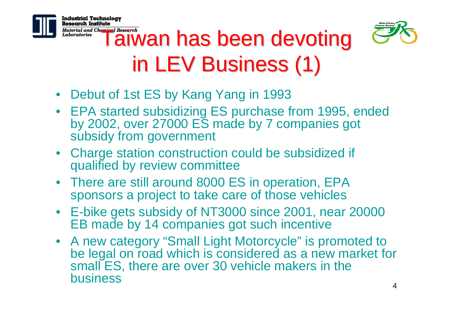



## $T_{\textit{aboratories}}^{\textit{Material and Charical}}$  and  $\textit{Cheuerch}$  and  $\textit{Dean}$  has been devoting in LEV Business (1)

- •Debut of 1st ES by Kang Yang in 1993
- EPA started subsidizing ES purchase from 1995, ended by 2002, over 27000 ES made by 7 companies got subsidy from government
- Charge station construction could be subsidized if qualified by review committee
- There are still around 8000 ES in operation, EPA sponsors a project to take care of those vehicles
- E-bike gets subsidy of NT3000 since 2001, near 20000 EB made by 14 companies got such incentive
- A new category "Small Light Motorcycle" is promoted to be legal on road which is considered as a new market for small ES, there are over 30 vehicle makers in the business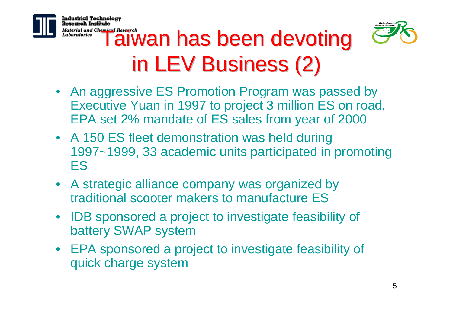

lesearch Ins<del>litut</del>e

strial Technology



## Material and Charries Reserve in LEV Business (2)

- An aggressive ES Promotion Program was passed by Executive Yuan in 1997 to project 3 million ES on road, EPA set 2% mandate of ES sales from year of 2000
- A 150 ES fleet demonstration was held during 1997~1999, 33 academic units participated in promoting ES
- A strategic alliance company was organized by traditional scooter makers to manufacture ES
- IDB sponsored a project to investigate feasibility of battery SWAP system
- EPA sponsored a project to investigate feasibility of quick charge system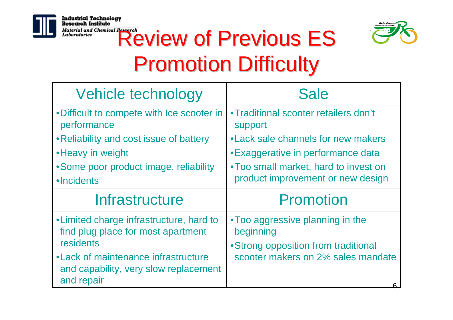

**Research Institute** 



## Material and Chemical Previous Review of Previous ES **Promotion Difficulty**

| Vehicle technology                                                                          | <b>Sale</b>                                                                         |
|---------------------------------------------------------------------------------------------|-------------------------------------------------------------------------------------|
| •Difficult to compete with Ice scooter in<br>performance                                    | •Traditional scooter retailers don't<br>support                                     |
| . Reliability and cost issue of battery                                                     | • Lack sale channels for new makers                                                 |
| • Heavy in weight                                                                           | • Exaggerative in performance data                                                  |
| • Some poor product image, reliability                                                      | •Too small market, hard to invest on                                                |
| •Incidents                                                                                  | product improvement or new design                                                   |
| Infrastructure                                                                              | <b>Promotion</b>                                                                    |
| •Limited charge infrastructure, hard to<br>find plug place for most apartment<br>residents  | •Too aggressive planning in the<br>beginning<br>•Strong opposition from traditional |
| • Lack of maintenance infrastructure<br>and capability, very slow replacement<br>and repair | scooter makers on 2% sales mandate                                                  |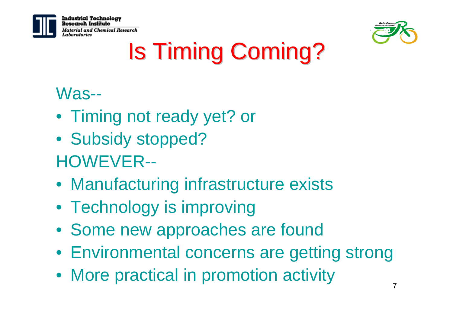

ustrial Technology search Institute Iaterial and Chemical Research aboratories



# Is Timing Coming?

### Was--

- Timing not ready yet? or
- Subsidy stopped? HOWEVER--
- Manufacturing infrastructure exists
- Technology is improving
- Some new approaches are found
- Environmental concerns are getting strong
- More practical in promotion activity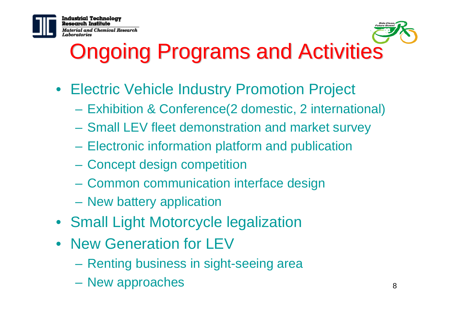

strial Technology Material and Chemical Research aboratories



# **Ongoing Programs and Activities**

- Electric Vehicle Industry Promotion Project
	- Exhibition & Conference(2 domestic, 2 international)
	- Small LEV fleet demonstration and market survey
	- Electronic information platform and publication
	- Concept design competition
	- Common communication interface design
	- New battery application
- Small Light Motorcycle legalization
- New Generation for LEV
	- Renting business in sight-seeing area
	- New approaches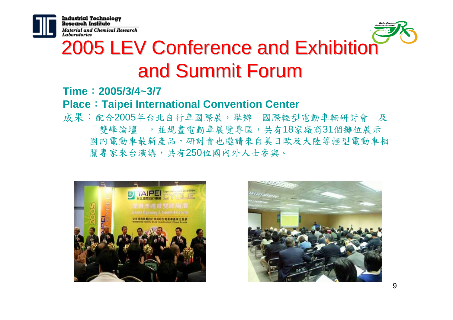

**Research Institute Material and Chemical Research** Laboratories



### 2005 LEV Conference and Exhibition and Summit Forum

#### **Time**:**2005/3/4~3/7**

#### **Place**:**Taipei International Convention Center**

成果:配合2005年台北自行車國際展,舉辦「國際輕型電動車輛研討會」及 「雙峰論壇」,並規畫電動車展覽專區,共有18家廠商31個攤位展示 國內電動車最新產品,研討會也邀請來自美日歐及大陸等輕型電動車相 關專家來台演講,共有250位國內外人士參與。



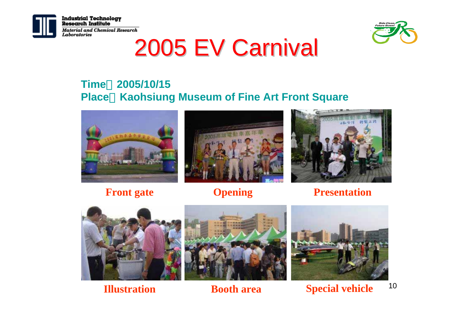

Industrial Technology<br>Research Institute **Material and Chemical Research** Laboratories



## 2005 EV Carnival

#### **Time**:**2005/10/15Place**:**Kaohsiung Museum of Fine Art Front Square**







**Front gate Opening Presentation**



**Illustration Booth area**





10**Special vehicle**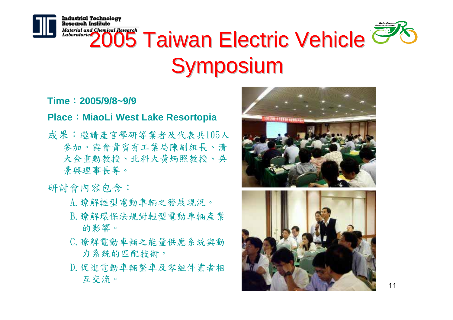

**Industrial Technology Research Institute** 



## Material and Chemical Research<br>Laboratorie 2005 Taiwan Electric Vehicle Symposium

#### **Time**:**2005/9/8~9/9**

#### **Place**:**MiaoLi West Lake Resortopia**

成果:邀請產官學研等業者及代表共105人 參加。與會貴賓有工業局陳副組長、清 大金重勳教授、北科大黃炳照教授、吳 景興理事長等。

#### 研討會內容包含:

- A.瞭解輕型電動車輛之發展現況。
- B.瞭解環保法規對輕型電動車輛產業 的影響。
- C.瞭解電動車輛之能量供應系統與動 力系統的匹配技術。
- D.促進電動車輛整車及零組件業者相 互交流。

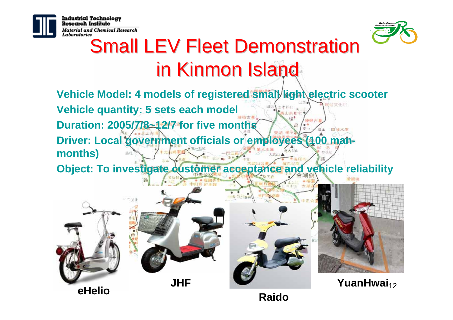

Research Institute Material and Chemical Research Laboratories



### **Small LEV Fleet Demonstration** in Kinmon Island

**Vehicle Model: 4 models of registered small light electric scooter** 最終文化料 **Vehicle quantity: 5 sets each model Duration: 2005/7/8~12/7 for five months** 国域水库 **Driver: Local government officials or employees (100 manmonths) Object: To investigate customer acceptance and vehicle reliability** 

47 单 的









12 **YuanHwai**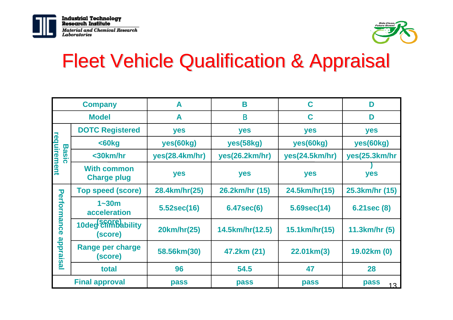



### Fleet Vehicle Qualification & Appraisal Fleet Vehicle Qualification & Appraisal

|                                                  | <b>Company</b>                           | A              | B               | C              | D                       |
|--------------------------------------------------|------------------------------------------|----------------|-----------------|----------------|-------------------------|
|                                                  | <b>Model</b>                             | A              | $\bf{B}$        | C              | D                       |
| <b>requirement</b><br><b>Basic</b>               | <b>DOTC Registered</b>                   | yes            | yes             | yes            | yes                     |
|                                                  | $60kg$                                   | yes(60kg)      | yes(58kg)       | yes(60kg)      | yes(60kg)               |
|                                                  | $<$ 30 $km/hr$                           | yes(28.4km/hr) | yes(26.2km/hr)  | yes(24.5km/hr) | yes(25.3km/hr           |
|                                                  | <b>With common</b><br><b>Charge plug</b> | yes            | yes             | yes            | yes                     |
| $\overline{\mathbf{U}}$<br>erformance<br>spprais | <b>Top speed (score)</b>                 | 28.4km/hr(25)  | 26.2km/hr (15)  | 24.5km/hr(15)  | 25.3km/hr (15)          |
|                                                  | $1 - 30m$<br>acceleration                | 5.52sec(16)    | 6.47sec(6)      | 5.69sec(14)    | $6.21$ sec $(8)$        |
|                                                  | 10deg climbability<br>(score)            | 20km/hr(25)    | 14.5km/hr(12.5) | 15.1km/hr(15)  | 11.3km/hr (5)           |
|                                                  | <b>Range per charge</b><br>(score)       | 58.56km(30)    | 47.2km (21)     | 22.01km(3)     | 19.02km (0)             |
| <u>ங்</u>                                        | total                                    | 96             | 54.5            | 47             | 28                      |
|                                                  | <b>Final approval</b>                    | pass           | pass            | pass           | pass<br>13 <sup>2</sup> |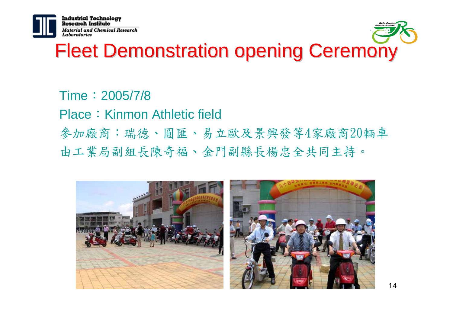

**Industrial Technology Research Institute** Material and Chemical Research Laboratories



### **Fleet Demonstration opening Ceremony**

#### Time:2005/7/8Place: Kinmon Athletic field 參加廠商:瑞德、圓匯、易立歐及景興發等4家廠商20輛車 由工業局副組長陳奇福 、 金門副縣長楊忠全共同主持。

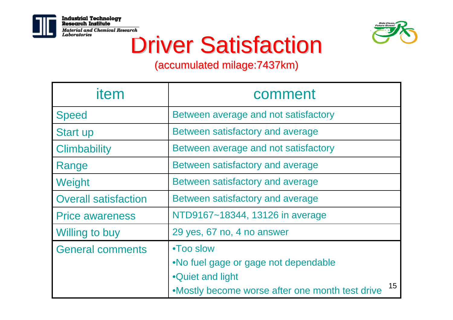

Industrial Technology<br>Research Institute **Material and Chemical Research** Laboratories



### **Driver Satisfaction**

#### (accumulated milage:7437km) (accumulated milage:7437km)

| item                        | comment                                                                                                                        |
|-----------------------------|--------------------------------------------------------------------------------------------------------------------------------|
| <b>Speed</b>                | Between average and not satisfactory                                                                                           |
| <b>Start up</b>             | Between satisfactory and average                                                                                               |
| <b>Climbability</b>         | Between average and not satisfactory                                                                                           |
| Range                       | Between satisfactory and average                                                                                               |
| Weight                      | Between satisfactory and average                                                                                               |
| <b>Overall satisfaction</b> | Between satisfactory and average                                                                                               |
| <b>Price awareness</b>      | NTD9167~18344, 13126 in average                                                                                                |
| <b>Willing to buy</b>       | 29 yes, 67 no, 4 no answer                                                                                                     |
| <b>General comments</b>     | •Too slow<br>.No fuel gage or gage not dependable<br>•Quiet and light<br>15<br>•Mostly become worse after one month test drive |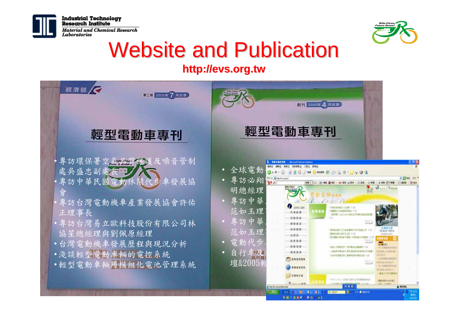



### **Website and Publication**

#### **http:// http://evs.org.tw evs.org.tw**

| 經濟部<br>第二期 2005年 7 月出版                                                                                                                                                              | 前刊 2005年 4 月出版                                                                                                                                                                                                                                                                                                                                                                                                                                                                                                                                                                     |
|-------------------------------------------------------------------------------------------------------------------------------------------------------------------------------------|------------------------------------------------------------------------------------------------------------------------------------------------------------------------------------------------------------------------------------------------------------------------------------------------------------------------------------------------------------------------------------------------------------------------------------------------------------------------------------------------------------------------------------------------------------------------------------|
| 輕型電動車專刊                                                                                                                                                                             | 輕型電動車專刊                                                                                                                                                                                                                                                                                                                                                                                                                                                                                                                                                                            |
| •專訪環保署空氣品質保護及噪音管制<br>處吳盛忠副處長<br>•專訪中華民國電動休閒代步車發展協<br>曾<br>•專訪台灣電動機車產業發展協會許佑<br>正理事長<br>•專訪台灣易立歐科技股份有限公司林<br>協笙總經理與劉佩原經理<br>•台灣電動機車發展歷程與現況分析<br>• 淺談輕型電動車輛的電控系統<br>•輕型電動車輛用模組化電池管理系統 | 2 推進主張推進網 - Microsoft Internet Explore<br>• 全球電動<br><b>HO Y RIGHT @ G. D &amp; - Y Q &amp;</b><br>專訪必翔<br>$\bullet$<br><b>Ytel</b><br>199 - 13 - 12-18 ● 10 - W-ER al Bft - 13:59<br>Mare Chean<br>Future drees<br><b>ALL LAT HISS</b><br>明總經理<br>專訪中華<br>范如玉理<br>a a c<br>專訪中華<br>$\bullet$<br>1 March<br>15 海易卫家<br>Taiwan Helio<br>范如玉理<br>10083.83<br><b><i><u><i><b>RESS</b></i></u></i></b><br>電動代步<br>$\bullet$<br><b>TO SAU</b><br>第二社製品信用する)<br>自行車及<br>$\bullet$<br>道家城西南市<br>壇&2005輕<br>非核凝胶 挥手<br>MUNEFH<br>地形友好外側の間<br>$0$ FIT FIX<br>(i) http://ens.cog/beliefsta.bb |
|                                                                                                                                                                                     | 77.MS<br><b>また 最 加盟対策</b><br><b>ALLIME</b><br><b>有效方向调查信息应力增长</b>                                                                                                                                                                                                                                                                                                                                                                                                                                                                                                                  |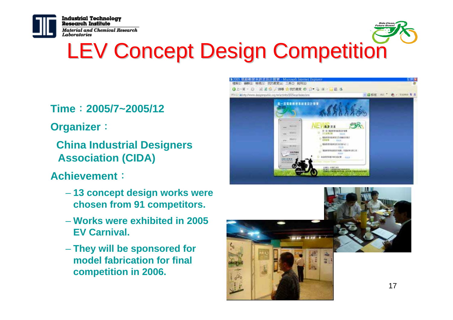

**Industrial Technology** Research Institute Material and Chemical Research Laboratories

## LEV Concept Design Competition

#### **Time**:**2005/7~2005/12**

**Organizer**:

 **China Industrial Designers Association (CIDA)**

#### **Achievement**:

- **13 concept design works were chosen from 91 competitors.**
- **Works were exhibited in 2005 EV Carnival.**
- **They will be sponsored for model fabrication for finalcompetition in 2006.**



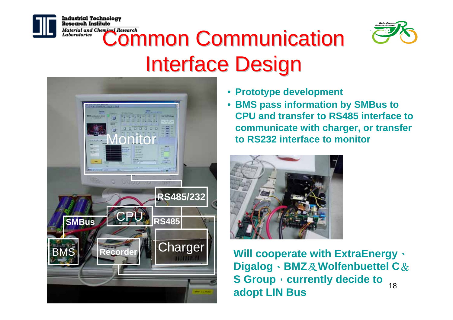



### **Research Institute** Material and Chemical Research<br>Laboratories **Common Communication Interface Design**



- •**Prototype development**
- • **BMS pass information by SMBus to CPU and transfer to RS485 interface tocommunicate with charger, or transfer to RS232 interface to monitor**



18**CPUS Group**,**currently decide to adopt LIN Bus Will cooperate with ExtraEnergy**、 **Digalog**、**BMZ**及**Wolfenbuettel C**&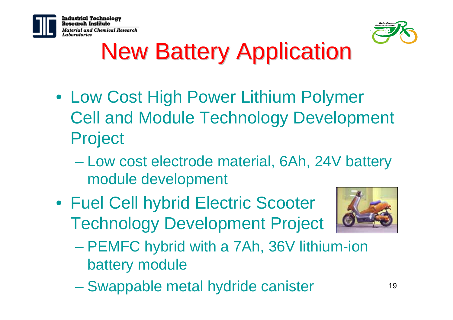



# **New Battery Application**

- Low Cost High Power Lithium Polymer Cell and Module Technology Development Project
	- **Hart Committee**  Low cost electrode material, 6Ah, 24V battery module development
- Fuel Cell hybrid Electric Scooter Technology Development Project



- **Holland** Construction PEMFC hybrid with a 7Ah, 36V lithium-ion battery module
- –Swappable metal hydride canister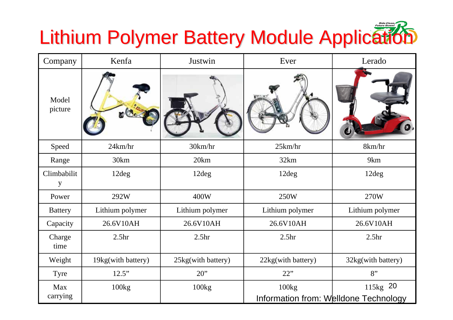# Lithium Polymer Battery Module Application

| Company          | Kenfa              | Justwin            | Ever                                           | Lerado             |
|------------------|--------------------|--------------------|------------------------------------------------|--------------------|
| Model<br>picture |                    |                    |                                                |                    |
| Speed            | 24km/hr            | 30km/hr            | 25km/hr                                        | 8km/hr             |
| Range            | 30km               | 20km               | 32km                                           | 9km                |
| Climbabilit<br>y | 12deg              | 12deg              | 12deg                                          | 12deg              |
| Power            | 292W               | 400W               | 250W                                           | 270W               |
| <b>Battery</b>   | Lithium polymer    | Lithium polymer    | Lithium polymer                                | Lithium polymer    |
| Capacity         | 26.6V10AH          | 26.6V10AH          | 26.6V10AH                                      | 26.6V10AH          |
| Charge<br>time   | 2.5 <sub>hr</sub>  | 2.5 <sub>hr</sub>  | 2.5 <sub>hr</sub>                              | 2.5 <sub>hr</sub>  |
| Weight           | 19kg(with battery) | 25kg(with battery) | 22kg(with battery)                             | 32kg(with battery) |
| Tyre             | 12.5"              | $20$ "             | 22"                                            | 8"                 |
| Max<br>carrying  | 100kg              | 100kg              | 100kg<br>Information from: Welldone Technology | 115kg 20           |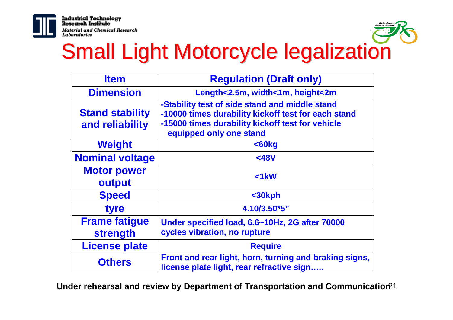

**Industrial Technology Research Institute** Material and Chemical Research Laboratories



### Small Light Motorcycle legalization

| <b>Item</b>                               | <b>Regulation (Draft only)</b>                                                                                                                                                       |  |  |
|-------------------------------------------|--------------------------------------------------------------------------------------------------------------------------------------------------------------------------------------|--|--|
| <b>Dimension</b>                          | Length<2.5m, width<1m, height<2m                                                                                                                                                     |  |  |
| <b>Stand stability</b><br>and reliability | -Stability test of side stand and middle stand<br>-10000 times durability kickoff test for each stand<br>-15000 times durability kickoff test for vehicle<br>equipped only one stand |  |  |
| <b>Weight</b>                             | $60kg$                                                                                                                                                                               |  |  |
| <b>Nominal voltage</b>                    | $<$ 48V                                                                                                                                                                              |  |  |
| <b>Motor power</b><br>output              | $< 1$ kW                                                                                                                                                                             |  |  |
| <b>Speed</b>                              | $30kph$                                                                                                                                                                              |  |  |
| tyre                                      | 4.10/3.50*5"                                                                                                                                                                         |  |  |
| <b>Frame fatigue</b><br>strength          | Under specified load, 6.6~10Hz, 2G after 70000<br>cycles vibration, no rupture                                                                                                       |  |  |
| License plate                             | <b>Require</b>                                                                                                                                                                       |  |  |
| <b>Others</b>                             | Front and rear light, horn, turning and braking signs,<br>license plate light, rear refractive sign                                                                                  |  |  |

Under rehearsal and review by Department of Transportation and Communication<sup>21</sup>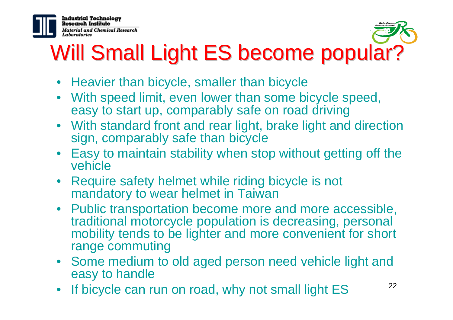

### Will Small Light ES become popular?

- Heavier than bicycle, smaller than bicycle
- • With speed limit, even lower than some bicycle speed, easy to start up, comparably safe on road driving
- With standard front and rear light, brake light and direction sign, comparably safe than bicycle
- Easy to maintain stability when stop without getting off the vehicle
- Require safety helmet while riding bicycle is not mandatory to wear helmet in Taiwan
- Public transportation become more and more accessible, traditional motorcycle population is decreasing, personal mobility tends to be lighter and more convenient for short range commuting
- Some medium to old aged person need vehicle light and easy to handle
- •If bicycle can run on road, why not small light ES

**Ufure Gree**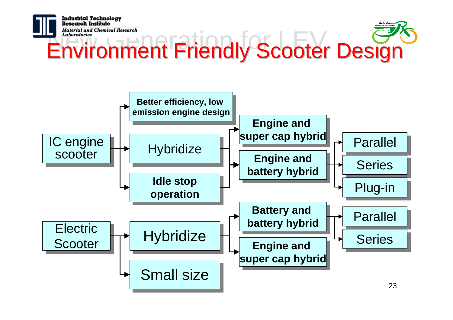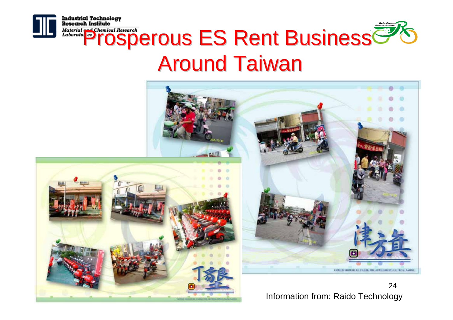



### Material Prosperous ES Rent Business **Around Taiwan**



Information from: Raido Technology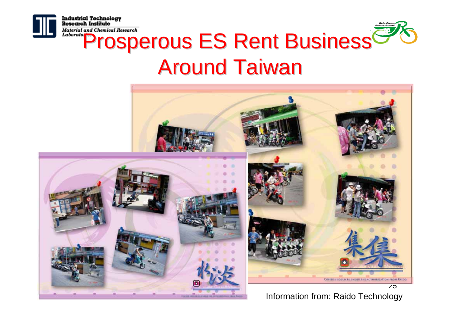

Industrial Technology<br>Research Institute **Material and Chemical Research** 

### **Prosperous ES Rent Business Around Taiwan**



Information from: Raido Technology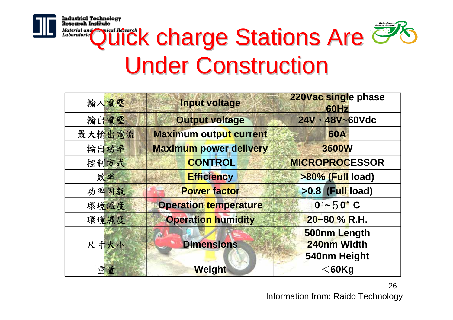



### **Research Institute** Material and Quick charge Stations Are  $\epsilon$ **Under Construction**

| 輸入電壓   | <b>Input voltage</b>          | 220Vac single phase<br>60Hz                 |
|--------|-------------------------------|---------------------------------------------|
| 輸出電壓   | <b>Output voltage</b>         | 24V - 48V~60Vdc                             |
| 最大輸出電流 | <b>Maximum output current</b> | <b>60A</b>                                  |
| 輸出功率   | <b>Maximum power delivery</b> | <b>3600W</b>                                |
| 控制方式   | <b>CONTROL</b>                | <b>MICROPROCESSOR</b>                       |
| 效率     | <b>Efficiency</b>             | >80% (Full load)                            |
| 功率因數   | <b>Power factor</b>           | >0.8 (Full load)                            |
| 環境溫度   | <b>Operation temperature</b>  | $0^\circ - 50^\circ$ C                      |
| 環境濕度   | <b>Operation humidity</b>     | 20~80 % R.H.                                |
| 尺寸大小   | <b>Dimensions</b>             | 500nm Length<br>240nm Width<br>540nm Height |
| 重量     | Weight                        | $<$ 60 $K$ g                                |

26Information from: Raido Technology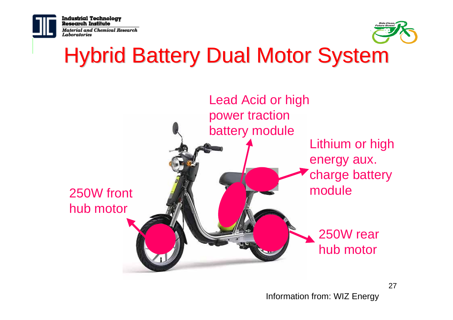

**Industrial Technology Research Institute** Material and Chemical Research Laboratories



### **Hybrid Battery Dual Motor System**

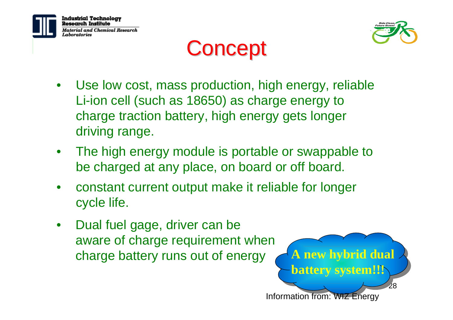

ustrial Technology esearch Institute Material and Chemical Research aboratories





- • Use low cost, mass production, high energy, reliable Li-ion cell (such as 18650) as charge energy to charge traction battery, high energy gets longer driving range.
- • The high energy module is portable or swappable to be charged at any place, on board or off board.
- • constant current output make it reliable for longer cycle life.
- • Dual fuel gage, driver can be aware of charge requirement when charge battery runs out of energy

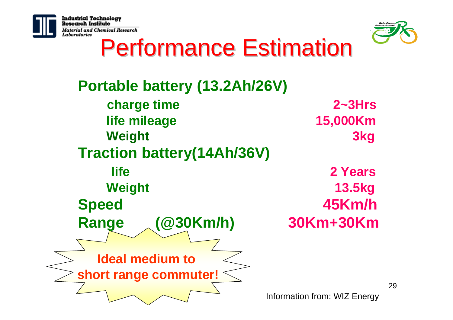

Industrial Technology<br>Research Institute **Material and Chemical Research** Laboratories



29

**Performance Estimation** 

| Portable battery (13.2Ah/26V)      |                              |
|------------------------------------|------------------------------|
| charge time                        | $2 - 3$ Hrs                  |
| life mileage                       | 15,000Km                     |
| <b>Weight</b>                      | <b>3kg</b>                   |
| <b>Traction battery (14Ah/36V)</b> |                              |
| <b>life</b>                        | 2 Years                      |
| <b>Weight</b>                      | <b>13.5kg</b>                |
| <b>Speed</b>                       | 45Km/h                       |
| (@30Km/h)<br><b>Range</b>          | 30Km+30Km                    |
|                                    |                              |
| <b>Ideal medium to</b>             |                              |
| short range commuter!              |                              |
|                                    | Information from: WIZ Energy |